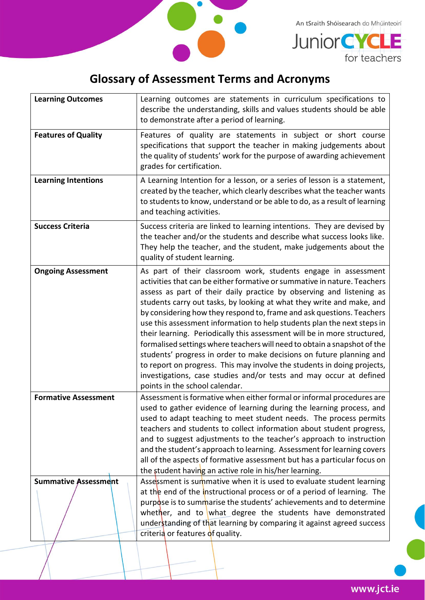



## **Glossary of Assessment Terms and Acronyms**

| <b>Learning Outcomes</b>    | Learning outcomes are statements in curriculum specifications to<br>describe the understanding, skills and values students should be able<br>to demonstrate after a period of learning.                                                                                                                                                                                                                                                                                                                                                                                                                                                                                                                                                                                                                                                                            |
|-----------------------------|--------------------------------------------------------------------------------------------------------------------------------------------------------------------------------------------------------------------------------------------------------------------------------------------------------------------------------------------------------------------------------------------------------------------------------------------------------------------------------------------------------------------------------------------------------------------------------------------------------------------------------------------------------------------------------------------------------------------------------------------------------------------------------------------------------------------------------------------------------------------|
| <b>Features of Quality</b>  | Features of quality are statements in subject or short course<br>specifications that support the teacher in making judgements about<br>the quality of students' work for the purpose of awarding achievement<br>grades for certification.                                                                                                                                                                                                                                                                                                                                                                                                                                                                                                                                                                                                                          |
| <b>Learning Intentions</b>  | A Learning Intention for a lesson, or a series of lesson is a statement,<br>created by the teacher, which clearly describes what the teacher wants<br>to students to know, understand or be able to do, as a result of learning<br>and teaching activities.                                                                                                                                                                                                                                                                                                                                                                                                                                                                                                                                                                                                        |
| <b>Success Criteria</b>     | Success criteria are linked to learning intentions. They are devised by<br>the teacher and/or the students and describe what success looks like.<br>They help the teacher, and the student, make judgements about the<br>quality of student learning.                                                                                                                                                                                                                                                                                                                                                                                                                                                                                                                                                                                                              |
| <b>Ongoing Assessment</b>   | As part of their classroom work, students engage in assessment<br>activities that can be either formative or summative in nature. Teachers<br>assess as part of their daily practice by observing and listening as<br>students carry out tasks, by looking at what they write and make, and<br>by considering how they respond to, frame and ask questions. Teachers<br>use this assessment information to help students plan the next steps in<br>their learning. Periodically this assessment will be in more structured,<br>formalised settings where teachers will need to obtain a snapshot of the<br>students' progress in order to make decisions on future planning and<br>to report on progress. This may involve the students in doing projects,<br>investigations, case studies and/or tests and may occur at defined<br>points in the school calendar. |
| <b>Formative Assessment</b> | Assessment is formative when either formal or informal procedures are<br>used to gather evidence of learning during the learning process, and<br>used to adapt teaching to meet student needs. The process permits<br>teachers and students to collect information about student progress,<br>and to suggest adjustments to the teacher's approach to instruction<br>and the student's approach to learning. Assessment for learning covers<br>all of the aspects of formative assessment but has a particular focus on<br>the student having an active role in his/her learning.                                                                                                                                                                                                                                                                                  |
| <b>Summative Assessment</b> | Assessment is summative when it is used to evaluate student learning<br>at the end of the instructional process or of a period of learning. The<br>purpose is to summarise the students' achievements and to determine<br>whether, and to what degree the students have demonstrated<br>understanding of that learning by comparing it against agreed success<br>criteria or features of quality.                                                                                                                                                                                                                                                                                                                                                                                                                                                                  |